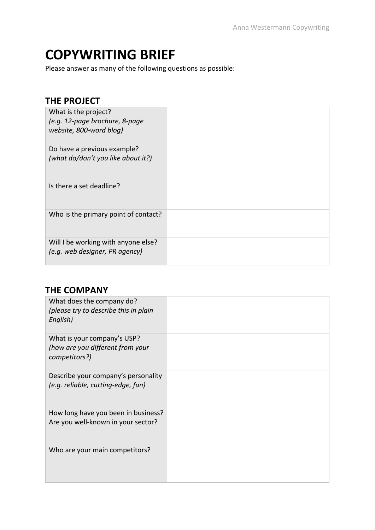# **COPYWRITING BRIEF**

Please answer as many of the following questions as possible:

### **THE PROJECT**

| What is the project?<br>(e.g. 12-page brochure, 8-page<br>website, 800-word blog) |  |
|-----------------------------------------------------------------------------------|--|
| Do have a previous example?<br>(what do/don't you like about it?)                 |  |
| Is there a set deadline?                                                          |  |
| Who is the primary point of contact?                                              |  |
| Will I be working with anyone else?<br>(e.g. web designer, PR agency)             |  |

## **THE COMPANY**

| What does the company do?<br>(please try to describe this in plain<br>English)   |  |
|----------------------------------------------------------------------------------|--|
| What is your company's USP?<br>(how are you different from your<br>competitors?) |  |
| Describe your company's personality<br>(e.g. reliable, cutting-edge, fun)        |  |
| How long have you been in business?<br>Are you well-known in your sector?        |  |
| Who are your main competitors?                                                   |  |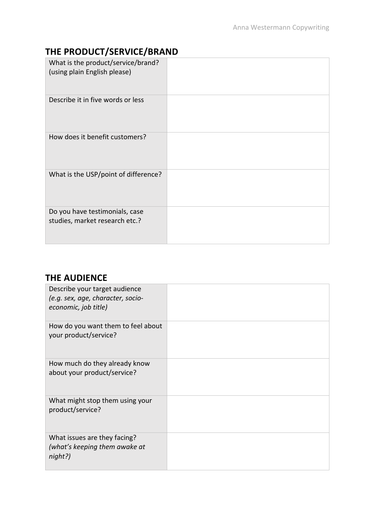# **THE PRODUCT/SERVICE/BRAND**

| What is the product/service/brand?<br>(using plain English please) |  |
|--------------------------------------------------------------------|--|
| Describe it in five words or less                                  |  |
| How does it benefit customers?                                     |  |
| What is the USP/point of difference?                               |  |
| Do you have testimonials, case<br>studies, market research etc.?   |  |

## **THE AUDIENCE**

| Describe your target audience<br>(e.g. sex, age, character, socio-<br>economic, job title) |  |
|--------------------------------------------------------------------------------------------|--|
| How do you want them to feel about<br>your product/service?                                |  |
| How much do they already know<br>about your product/service?                               |  |
| What might stop them using your<br>product/service?                                        |  |
| What issues are they facing?<br>(what's keeping them awake at<br>night?)                   |  |